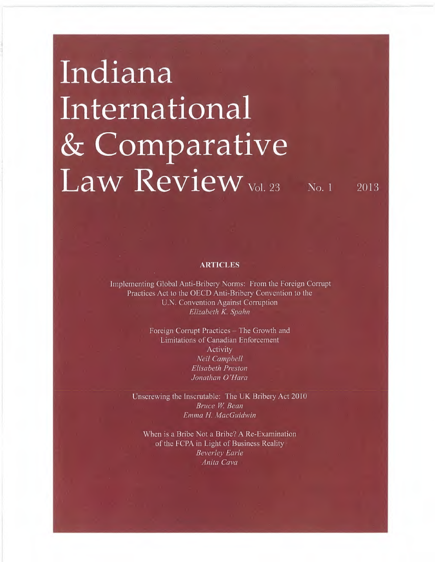# Indiana International & Comparative  $Law$   $Review<sub>vol.23</sub>$  No. 1  $2013$

**ARTICLES** 

Implementing Global Anti-Bribery Norms: From the Foreign Corrupt Practices Act to the OECD Anti-Bribery Convention to the U.N. Convention Against Corruption Elizabeth K. Spahn

> Foreign Corrupt Practices - The Growth and Limitations of Canadian Enforcement Activity Neil Campbell Elisabeth Preston Jonathan O'Hara

Unscrewing the Inscrutable: The UK Bribery Act 2010 Bruce W. Beau Emma H. MacGuidwin

When is a Bribe Not a Bribe? A Re-Examination of the FCPA in Light of Business Reality Beverley Earle Anita Cava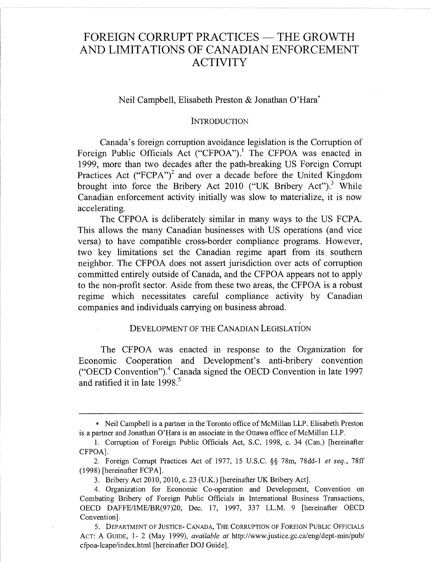## FOREIGN CORRUPT PRACTICES - THE GROWTH AND LIMITATIONS OF CANADIAN ENFORCEMENT ACTIVITY

## Neil Campbell, Elisabeth Preston & Jonathan O'Hara\*

#### INTRODUCTION

Canada's foreign corruption avoidance legislation is the Corruption of Foreign Public Officials Act ("CFPOA").' The CFPOA was enacted in 1999, more than two decades after the path-breaking US Foreign Corrupt Practices Act ("FCPA")<sup>2</sup> and over a decade before the United Kingdom brought into force the Bribery Act 2010 ("UK Bribery Act").<sup>3</sup> While Canadian enforcement activity initially was slow to materialize, it is now accelerating.

The CFPOA is deliberately similar in many ways to the US FCPA. This allows the many Canadian businesses with US operations (and vice versa) to have compatible cross-border compliance programs. However, two key limitations set the Canadian regime apart from its southern neighbor. The CFPOA does not assert jurisdiction over acts of corruption committed entirely outside of Canada, and the CFPOA appears not to apply to the non-profit sector. Aside from these two areas, the CFPOA is a robust regime which necessitates careful compliance activity by Canadian companies and individuals carrying on business abroad.

## DEVELOPMENT OF THE CANADIAN LEGISLATION

The CFPOA was enacted in response to the Organization for Economic Cooperation and Development's anti-bribery convention ("OECD Convention").4 Canada signed the OECD Convention in late 1997 and ratified it in late 1998.<sup>5</sup>

<sup>\*</sup> Neil Campbell is a partner in the Toronto office of McMillan LLP. Elisabeth Preston is a partner and Jonathan O'Hara is an associate in the Ottawa office of McMillan LLP.

<sup>1.</sup> Corruption of Foreign Public Officials Act, S.C. 1998, c. 34 (Can.) [hereinafter CFPOA].

<sup>2.</sup> Foreign Corrupt Practices Act of 1977, 15 U.S.C. §§ 78m, 78dd-1 et seq., 78ff (1998) [hereinafter FCPA].

<sup>3.</sup> Bribery Act 2010, 2010, c. 23 (U.K.) [hereinafter UK Bribery Act].

<sup>4.</sup> Organization for Economic Co-operation and Development, Convention on Combating Bribery of Foreign Public Officials in International Business Transactions, OECD DAFFE/IME/BR(97)20, Dec. 17, 1997, 337 I.L.M. 9 [hereinafter OECD Convention].

S. DEPARTMENT OF JUSTICE- CANADA, THE CORRUPTION OF FOREIGN PUBLIC OFFICIALS ACT: A GUIDE, 1-2 (May 1999), *available at http://www.justice.gc.ca/eng/dept-min/pub/* cfpoa-lcape/index.html [hereinafter DOJ Guide].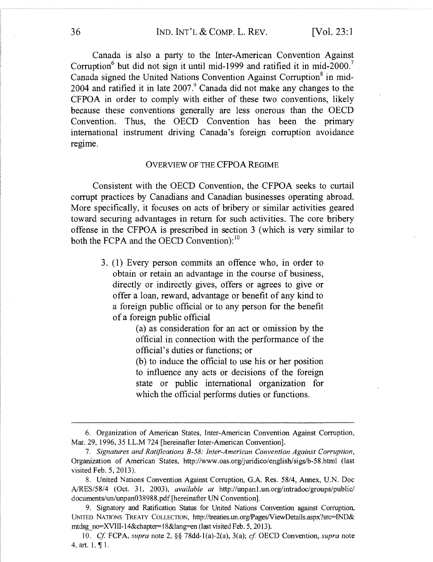Canada is also a party to the Inter-American Convention Against Corruption $6$  but did not sign it until mid-1999 and ratified it in mid-2000. Canada signed the United Nations Convention Against Corruption<sup>8</sup> in mid-2004 and ratified it in late  $2007<sup>9</sup>$  Canada did not make any changes to the CFPOA in order to comply with either of these two conventions, likely because these conventions generally are less onerous than the OECD Convention. Thus, the OECD Convention has been the primary international instrument driving Canada's foreign corruption avoidance regime.

#### OVERVIEW OF THE CFPOA REGIME

Consistent with the OECD Convention, the CFPOA seeks to curtail corrupt practices by Canadians and Canadian businesses operating abroad. More specifically, it focuses on acts of bribery or similar activities geared toward securing advantages in return for such activities. The core bribery offense in the CFPOA is prescribed in section 3 (which is very similar to both the FCPA and the OECD Convention):<sup>10</sup>

> 3 . (1) Every person commits an offence who, in order to obtain or retain an advantage in the course of business, directly or indirectly gives, offers or agrees to give or offer a loan, reward, advantage or benefit of any kind to a foreign public official or to any person for the benefit of a foreign public official

> > (a) as consideration for an act or omission by the official in connection with the performance of the official's duties or functions; or

> > (b) to induce the official to use his or her position to influence any acts or decisions of the foreign state or public international organization for which the official performs duties or functions.

<sup>6.</sup> Organization of American States, Inter-American Convention Against Corruption, Mar. 29, 1996, 35 I.L.M 724 [hereinafter Inter-American Convention].

<sup>7.</sup> Signatarres and Ratifications 8-58: Inter-American Convention Against Corruption, Organization of American States, http://www.oas.org/juridico/english/sigs/b-58.html (last visited Feb.  $5, 2013$ ).

<sup>8.</sup> United Nations Convention Against Corruption, G.A. Res. 58/4, Annex, U.N. Doc ,A/RES/58/4 (Oct. 31, 2003), available at http://unpanl.un.org/intradoc/groups/public/ documents/un/unpan038988.pdf [hereinafter UN Convention].

<sup>9.</sup> Signatory and Ratification Status for United Nations Convention against Corruption, UNITED NATIONS TREATY COLLECTION, http://treaties.un.org/Pages/ViewDetails.aspx?src=lND& mtdsg\_no=XVIII-14&chapter=18&lang=en (last visited Feb. 5, 2013).

<sup>10.</sup> Cf. FCPA, supra note 2,  $\S$  78dd-1(a)-2(a), 3(a); cf. OECD Convention, supra note 4, art. 1, ¶ 1.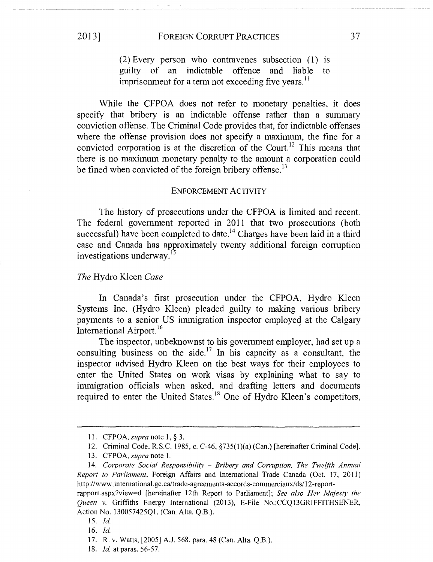(2) Every person who contravenes subsection (1) is guilty of an indictable offence and liable to imprisonment for a term not exceeding five years.<sup>11</sup>

While the CFPOA does not refer to monetary penalties, it does specify that bribery is an indictable offense rather than a summary conviction offense. The Criminal Code provides that, for indictable offenses where the offense provision does not specify a maximum, the fine for a convicted corporation is at the discretion of the Court.<sup>12</sup> This means that there is no maximum monetary penalty to the amount a corporation could be fined when convicted of the foreign bribery offense.<sup>13</sup>

#### ENFORCEMENT ACTIVITY

The history of prosecutions under the CFPOA is limited and recent. The federal government reported in 2011 that two prosecutions (both successful) have been completed to date.<sup>14</sup> Charges have been laid in a third case and Canada has approximately twenty additional foreign corruption investigations underway.15

#### The Hydro Kleen Case

In Canada's first prosecution under the CFPOA, Hydro Kleen Systems Inc. (Hydro Kleen) pleaded guilty to making various bribery payments to a senior US immigration inspector employed at the Calgary International Airport.<sup>16</sup>

The inspector, unbeknownst to his government employer, had set up a consulting business on the side.<sup>17</sup> In his capacity as a consultant, the inspector advised Hydro Kleen on the best ways for their employees to enter the United States on work visas by explaining what to say to immigration officials when asked, and drafting letters and documents required to enter the United States.<sup>18</sup> One of Hydro Kleen's competitors,

<sup>11.</sup> CFPOA, supra note 1, § 3.

<sup>]2.</sup> Criminal Code, R.S.C. 1985. c. C-46, §735(1)(a) (Can.) [hereinafter Criminal Code].

<sup>13.</sup> CFPOA, supra note 1.

<sup>14.</sup> Corporate Social Responsibility  $-$  Bribery and Corruption, The Twelfth Annual Report to Parliament, Foreign Affairs and International Trade Canada (Oct. 17, 2011) http://www.international.gc.ca/trade-agreements-accords-commerciaux/ds/ 12-report-

rapport.aspx?view=d [hereinafter 12th Report to Parliament]; See also Her Majesty the Queen v. Griffiths Energy International (2013), E-File No.:CCQ13GRIFFITHSENER, Action No. 130057425Q1, (Can. Alta. Q.B.).

I5. Id.

<sup>16.</sup> Id.

<sup>17.</sup> R. v. Watts, [2005] A.J. 568, para. 48 (Can. Alta. Q.B.).

<sup>18.</sup> *Id.* at paras. 56-57.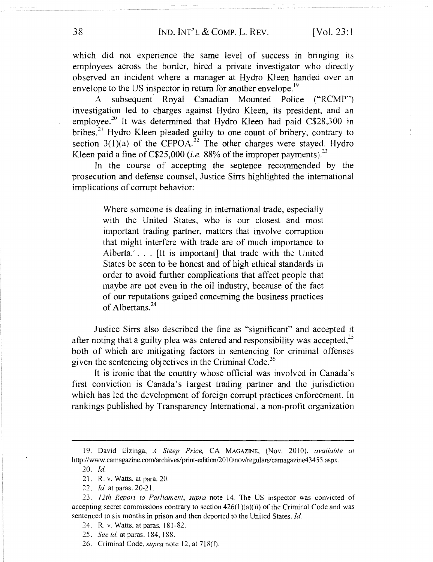which did not experience the same level of success in bringing its employees across the border, hired a private investigator who directly observed an incident where a manager at Hydro Kleen handed over an envelope to the US inspector in return for another envelope.<sup>19</sup>

A subsequent Royal Canadian Mounted Police ("RCMP") investigation led to charges against Hydro Kleen, its president, and an employee.<sup>20</sup> It was determined that Hydro Kleen had paid C\$28,300 in bribes.<sup>21</sup> Hydro Kleen pleaded guilty to one count of bribery, contrary to section  $3(1)(a)$  of the CFPOA.<sup>22</sup> The other charges were stayed. Hydro Kleen paid a fine of C\$25,000 (*i.e.* 88% of the improper payments).<sup>23</sup>

In the course of accepting the sentence recommended by the prosecution and defense counsel, Justice Sirrs highlighted the international implications of corrupt behavior:

> Where someone is dealing in international trade, especially with the United States, who is our closest and most important trading partner, matters that involve corruption that might interfere with trade are of much importance to Alberta.  $\ldots$  [It is important] that trade with the United States be seen to be honest and of high ethical standards in order to avoid further complications that affect people that maybe are not even in the oil industry, because of the fact of our reputations gained concerning the business practices of Albertans.<sup>24</sup>

Justice Sirrs also described the fine as "significant" and accepted it after noting that a guilty plea was entered and responsibility was accepted,  $2<sup>5</sup>$ both of which are mitigating factors in sentencing for criminal offenses given the sentencing objectives in the Criminal Code.<sup>26</sup>

It is ironic that the country whose official was involved in Canada's first conviction is Canada's largest trading partner and the jurisdiction which has led the development of foreign corrupt practices enforcement. In rankings published by Transparency International, a non-profit organization

<sup>19.</sup> David Elzinga, A Steep Price, CA MAGAZINE, (Nov. 2010). available at http://www.camagazine.com/archives/print-edition/2010/nov/regulars/camagazine43455.aspx.

 $20.$  Id.

<sup>21.</sup> R. v. Watts, at para. 20.

<sup>22.</sup> *Id.* at paras. 20-21.

<sup>23. 12</sup>th Report to Parliament, supra note 14. The US inspector was convicted of accepting secret commissions contrary to section  $426(1)(a)(ii)$  of the Criminal Code and was sentenced to six months in prison and then deported to the United States. Id.

<sup>?4.</sup> R. v. Watts, at paras. 181-82.

<sup>25.</sup> See id. at paras. 184, 188.

<sup>26.</sup> Criminal Code, *supra* note 12, at 718(f).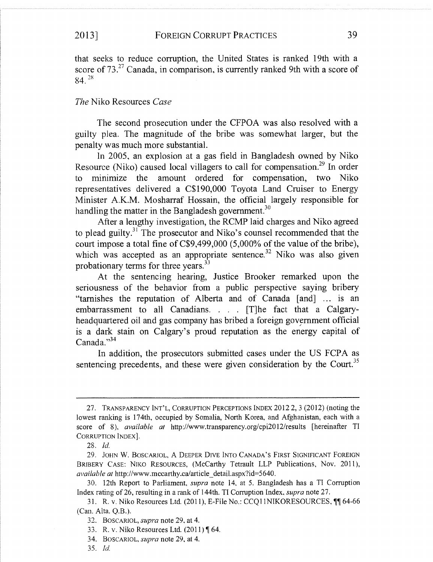that seeks to reduce corruption, the United States is ranked 19th with a score of  $73.^{27}$  Canada, in comparison, is currently ranked 9th with a score of  $84.^{28}$ 

## The Niko Resources Case

The second prosecution under the CFPOA was also resolved with a guilty plea. The magnitude of the bribe was somewhat larger, but the penalty was much more substantial.

In 2005, an explosion at a gas field in Bangladesh owned by Niko Resource (Niko) caused local villagers to call for compensation.<sup>29</sup> In order to minimize the amount ordered for compensation, two Niko representatives delivered a C\$190,000 Toyota Land Cruiser to Energy Minister A.K.M. Mosharraf Hossain, the official largely responsible for handling the matter in the Bangladesh government.<sup>30</sup>

After a lengthy investigation, the RCMP laid charges and Niko agreed to plead guilty.<sup>31</sup> The prosecutor and Niko's counsel recommended that the court impose a total fine of C\$9,499,000 (5,000% of the value of the bribe), which was accepted as an appropriate sentence.<sup>32</sup> Niko was also given probationary terms for three years.<sup>33</sup>

At the sentencing hearing, Justice Brooker remarked upon the seriousness of the behavior from a public perspective saying bribery "tarnishes the reputation of Alberta and of Canada [and] ... is an embarrassment to all Canadians.  $\therefore$  [T]he fact that a Calgaryheadquartered oil and gas company has bribed a foreign government official is a dark stain on Calgary's proud reputation as the energy capital of Canada."34

In addition, the prosecutors submitted cases under the US FCPA as sentencing precedents, and these were given consideration by the Court.<sup>35</sup>

<sup>27.</sup> TRANSPARENCY INT'L, CORRUPTION PERCEPTIONS INDEX 2012 2, 3 (2012} (noting the lowest ranking is 174th, occupied by Somalia, North Korea, and Afghanistan, each with a score of 8), available at http://www.transparency.org/cpi2012/results [hereinafter TI CORRUPTION INDEX].

<sup>28.</sup> Id.

<sup>29.</sup> JOHN W. BOSCARIOL, A DEEPER DIVE INTO CANADA'S FIRST SIGNIFICANT FOREIGN BRIBERY CASE: NIKO RESOURCES, (McCarthy Tetrault LLP Publications, Nov. 2011), available at http://www.mccarthy.ca/article\_detail.aspx?id=5640.

<sup>30. 12</sup>th Report to Parliament, supra note 14, at 5. Bangladesh has a TI Corruption Index rating of 26, resulting in a rank of 144th. TI Corruption Index, supra note 27.

<sup>31.</sup> R. v. Niko Resources Ltd. (2011), E-File No.: CCQI 1NIKORESOURCES, ¶¶ 64-66 (Can. Alta. Q.B.).

<sup>32.</sup> BOSCARIOL, *supra* note 29, at 4.

<sup>33.</sup> R. v. Niko Resources Ltd. (2011) ¶ 64.

<sup>34.</sup> BOSCARIOL, *supra* note 29, at 4.

<sup>35.</sup> Id.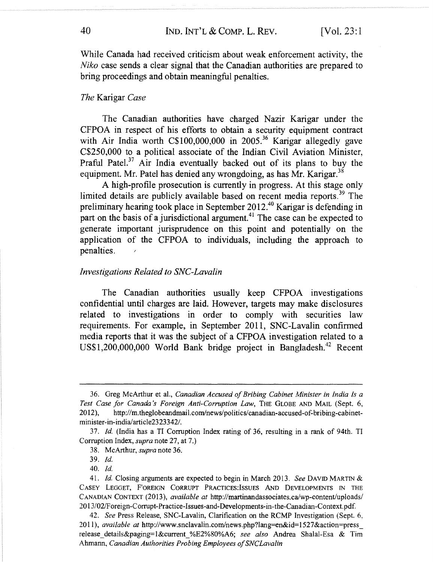While Canada had received criticism about weak enforcement activity, the Niko case sends a clear signal that the Canadian authorities are prepared to bring proceedings and obtain meaningful penalties.

#### The Karigar Case

The Canadian authorities have charged Nazir Karigar under the CFPOA in respect of his efforts to obtain a security equipment contract with Air India worth C\$100,000,000 in 2005.<sup>36</sup> Karigar allegedly gave C\$250,000 to a political associate of the Indian Civil Aviation Minister, Praful Patel. $37$  Air India eventually backed out of its plans to buy the equipment. Mr. Patel has denied any wrongdoing, as has Mr. Karigar.<sup>38</sup>

A high-profile prosecution is currently in progress. At this stage only limited details are publicly available based on recent media reports.<sup>39</sup> The preliminary hearing took place in September 2012 40 Karigar is defending in part on the basis of a jurisdictional argument.<sup>41</sup> The case can be expected to generate important jurisprudence on this point and potentially on the application of the CFPOA to individuals, including the approach to penalties.

#### Investigations Related to SNC-Lavalin

The Canadian authorities usually keep CFPOA investigations confidential until charges are laid. However, targets may make disclosures related to investigations in order to comply with securities law requirements. For example, in September 2011, SNC-Lavalin confirmed media reports that it was the subject of a CFPOA investigation related to a US\$1,200,000,000 World Bank bridge project in Bangladesh.<sup>42</sup> Recent

42. See Press Release, SNGLavalin, Clarification on the RCMP Investigation (Sept. 6, 2011), available at http://www.snclavalin.com/news.php?lang=en&id=1527&action=press release details&paging=1&current %E2%80%A6; see also Andrea Shalal-Esa & Tim Ahmann, Canadian Authorities Probing Employees of SIVCLavalin

<sup>36.</sup> Greg McArthur et al., Canadian Accused of Bribing Cabinet Minister in India Is a Test Case for Canada's Foreign Anti-Corruption Law, THE GLOBE AND MAIL (Sept. 6, 2012), http://m.theglobeandmail.com/news/politics/canadian-accused-of-bribing-cabinetminister-in-india/article2323342/.

<sup>37.</sup> Id. (India has a TI Corruption Index rating of 36, resulting in a rank of 94th. TI Corruption Index, *supra* note 27, at 7.)

<sup>38.</sup> McArthur, supra note 36.

<sup>39.</sup> Id.

<sup>40.</sup> Id.

<sup>41.</sup> Id. Closing arguments are expected to begin in March 2013. See DAVID MARTIN & CASEY LEGGET, FOREIGN CORRUPT PRACTICES:ISSUES AND DEVELOPMENTS 1N THE CANADIAN CONTEXT (2013), available at http://martinandassociates.ca/wp-content/uploads/ 013/02/Foreign-Comzpt-Practice-Issues-and-Developments-in-the-Canadian-Context.pdf.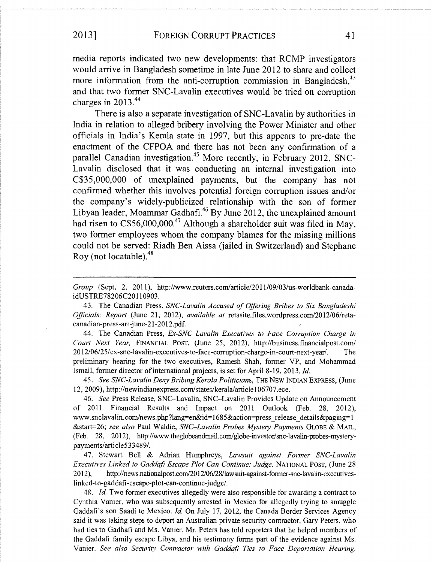media reports indicated two new developments: that RCMP investigators would arrive in Bangladesh sometime in late June 2012 to share and collect more information from the anti-corruption commission in Bangladesh, $^{43}$ and that two former SNC-Lavalin executives would be tried on corruption charges in 2013.<sup>44</sup>

There is also a separate investigation of SNC-Lavalin by authorities in India in relation to alleged bribery involving the Power Minister and other officials in India's Kerala state in 1997, but this appears to pre-date the enactment of the CFPOA and there has not been any confirmation of a parallel Canadian investigation.<sup>45</sup> More recently, in February 2012, SNC-Lavalin disclosed that it was conducting an internal investigation into C\$35,000,000 of unexplained payments, but the company has not confirmed whether this involves potential foreign corruption issues and/or the company's widely-publicized relationship with the son of former Libyan leader, Moammar Gadhafi.<sup>46</sup> By June 2012, the unexplained amount had risen to C\$56,000,000.<sup>47</sup> Although a shareholder suit was filed in May, two former employees whom the company blames for the missing millions could not be served: Riadh Ben Aissa (jailed in Switzerland) and Stephane Roy (not locatable). $48$ 

Group (Sept. 2, 2011), http://www.reuters.com/article/2011/09/03/us-worldbank-canadaidUSTRE78206C20110903.

43. The Canadian Press, SNC-Lavalin Accused of Offering Bribes to Six Bangladeshi Officials: Report (June 21, 2012), available at retasite.files.wordpress.com/2012/06/retacanadian-press-art-june-21-2012.pdf.

44. The Canadian Press, Ex-SNC Lavalin Executives to Face Corruption Charge in Court Next Year, FINANCIAL POST, (June 25, 2012), http://business.financialpost.com/ 2012/06/25/ex-snc-lavalin-executives-to-face-corruption-charge-in-court-next-yearl. The preliminary hearing for the two executives, Ramesh Shah, former VP, and Mohammad Ismail, former director of international projects, is set for Apri18-19, 2013. Id.

45. See SNC-Lavalin Deny Bribing Kerala Politicians, THE NEW INDIAN EXPRESS, (June 12, 2009), http://newindianexpress.com/states/kerala/article106707.ece.

46. See Press Release, SNC—Lavalin, SNC—Lavalin Provides Update on Announcement of 2011 Financial Results and Impact on 2011 Outlook (Feb. 28, 2012), www.snclavalin.com/news.php?lang=en&id=1685&action=press\_release\_details&paging=l &start=26; see also Paul Waldie, SNC-Lavalin Probes Mystery Payments GLOBE & MAIL, (Feb. 28, 2012), http://www.theglobeandmail.com/globe-investor/snc-lavalin-probes-mysterypayments/article533489/.

47. Stewart Bell & Adrian Humphreys, Lawsuit against Former SNC-Lavalin Execartives Linked to Gaddafi Escape Plot Can Continue: Judge, NATIONAL POST, (June 28 2012), http://news.nationalpost.com/2012/06/28/lawsuit-against-former-snc-lavalin-executives-1inked-to-gaddafi-escape-plot-can-continue-judge/.

48. Id. Two former executives allegedly were also responsible for awarding a contract to Cynthia Vanier, who was subsequently arrested in Mexico for allegedly trying to smuggle Gaddafi's son Saadi to Mexico. Id. On July 17, 2012, the Canada Border Services Agency said it was taking steps to deport an Australian private security contractor, Gary Peters, who had ties to Gadhafi and Ms. Vanier. Mr. Peters has told reporters that he helped members of the Gaddafi family escape Libya, and his testimony forms part of the evidence against Ms. Vanier. See also Security Contractor with Gaddafi Ties to Face Deportation Hearing,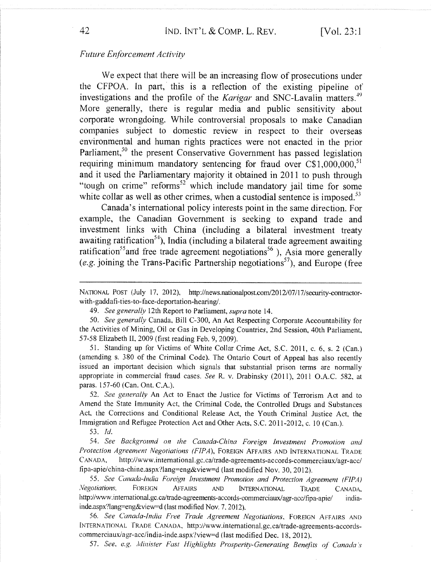## Future Enforcement Activity

We expect that there will be an increasing flow of prosecutions under the CFPOA. In part, this is a reflection of the existing pipeline of investigations and the profile of the *Karigar* and SNC-Lavalin matters.<sup> $+9$ </sup> More generally, there is regular media and public sensitivity about corporate wrongdoing. While controversial proposals to make Canadian companies subject to domestic review in respect to their overseas environmental and human rights practices were not enacted in the prior Parliament,<sup>50</sup> the present Conservative Government has passed legislation requiring minimum mandatory sentencing for fraud over  $C$1,000,000$ , $^{51}$ and it used the Parliamentary majority it obtained in 2011 to push through "tough on crime" reforms<sup>52</sup> which include mandatory jail time for some white collar as well as other crimes, when a custodial sentence is imposed.<sup>53</sup>

Canada's international policy interests point in the same direction. For example, the Canadian Government is seeking to expand trade and investment links with China (including a bilateral investment treaty awaiting ratification<sup>54</sup>), India (including a bilateral trade agreement awaiting ratification<sup>55</sup> and free trade agreement negotiations<sup>56</sup>), Asia more generally (e.g. joining the Trans-Pacific Partnership negotiations<sup>57</sup>), and Europe (free

50. See generally Canada, Bill C-300, An Act Respecting Corporate Accountability for the Activities of Mining, Oil or Gas in Developing Countries, 2nd Session, 40th Parliament, 57-5\$ Elizabeth II, 2009 (first reading Feb. 9, 2009).

51. Standing up for Victims of White Collar Crime Act, S.C. 2011, c. 6, s. 2 (Can.) (amending s. 380 of the Criminal Code). The Ontario Court of Appeal has also recently issued an important decision which signals that substantial prison terms are normally appropriate in commercial fraud cases. See R. v. Drabinsky (2011), 2011 O.A.C. 582, at paras. 157-60 {Can. Ont. C.A.).

52. See generally An Act to Enact the Justice for Victims of Terrorism Act and to Amend the State Immunity Act, the Criminal Code, the Controlled Drugs and Substances Act, the Corrections and Conditional Release Act, the Youth Criminal Justice Act, the Immigration and Refugee Protection Act and Other Acts, S.C. 2011-2012, c. 10 (Can.).

53.  $Id.$ 

54. See Background on the Canada-China Foreign Investment Promotion and Protection Agreement Negotiations (FIPA), FOREIGN AFFAIRS AND INTERNATIONAL TRADE CANADA, http://www.international.gc.ca/trade-agreements-accords-commerciaux/agr-acc/ fipa-apie/china-chine.aspx?lang=eng&view=d (last modified Nov. 30, 2012).

55. See Canada-India Foreign Investment Promotion and Protection Agreement (FIPA) Negotiations, FOREIGN AFFAIRS AND INTERNATIONAL TRADE CANADA, http://www.international.gc.ca/trade-agreements-accords-commerciaux/agr-acc/fipa-apie/ indiainde.aspx?lang=eng&view=d (last modified Nov. 7, 2012).

56. See Canada-India Free Trade Agreement Negotiations, FOREIGN AFFAIRS AND [NTERNATIC)NAL TRADE CANADA, http://www.international.gc.ea/trade-agreements-accordscommerciaux/agr-acc/india-inde.aspx?view=d (last modified Dec. 18, 2012).

57. See, e.g. Minister Fast Highlights Prosperity-Generating Benefits of Canada's

NATIONAL PosT (July 17, 2012), http://news.nationalpost.com/2012/07/17/security-contractorwith-gaddafi-ties-to-face-deportation-hearing/.

<sup>49.</sup> See generally 12th Report to Parliament, supra note 14.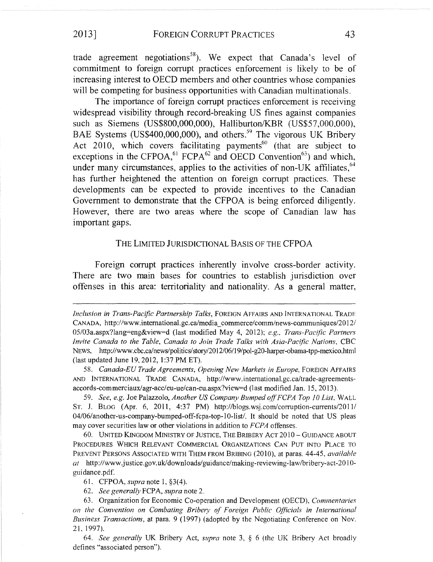## 2013] FOREIGN CORRUPT PRACTICES 43

trade agreement negotiations<sup>58</sup>). We expect that Canada's level of commitment to foreign corrupt practices enforcement is likely to be of increasing interest to OECD members and other countries whose companies will be competing for business opportunities with Canadian multinationals.

The importance of foreign corrupt practices enforcement is receiving widespread visibility through record-breaking US fines against companies such as Siemens (US\$800,000,000), Halliburton/KBR (US\$57,000,000), BAE Systems (US\$400,000,000), and others.<sup>59</sup> The vigorous UK Bribery Act 2010, which covers facilitating payments<sup>60</sup> (that are subject to exceptions in the CFPOA,<sup>61</sup> FCPA<sup>62</sup> and OECD Convention<sup>63</sup>) and which, under many circumstances, applies to the activities of non-UK affiliates. $^{64}$ has further heightened the attention on foreign corrupt practices. These developments can be expected to provide incentives to the Canadian Government to demonstrate that the CFPOA is being enforced diligently. However, there are two areas where the scope of Canadian law has important gaps.

#### THE LIMITED JURISDICTIONAL BASIS OF THE CFPOA

Foreign corrupt practices inherently involve cross-border activity. There are two main bases for countries to establish jurisdiction over offenses in this area: territoriality and nationality. As a general matter,

58. Canada-EU Trade Agreements, Opening New Markets in Europe. FOREIGN AFFAIRS AND INTERNATIONAL TRADE CANADA; http://www.international.gc.ca/trade-agreementsaccords-commerciaux/agr-acc/eu-ue/can-eu.aspx?view=d (last modified Jan. 15, 2013).

59. See, e.g. Joe Palazzolo, Another US Company Bumped off FCPA Top 10 List, WALL ST. J. BLOG (Apr. 6, 2011, 4:37 PM) http://blogs.wsj.com/corruption-currents/2011/ 04/06/another-us-company-bumped-off-fcpa-top-l0-list/. It should be noted that US pleas may cover securities law or other violations in addition to FCPA offenses.

60. UNITED KINGDOM MINISTRY OF JUSTICE, THE BRIBERY ACT  $2010 -$  GUIDANCE ABOUT PROCEDURES WHICH RELEVANT COMMERCIAL ORGANIZATIONS CAN PUT INTU PLACE TO PREVENT PERSONS ASSOCIATED WITH THEM FROM BRIBING (2010), at paras. 44-45, *available* at http://www.justice.gov.uk/downloads/guidance/making-reviewing-law/bribery-act-2010guidance,pdf.

61. CFPOA, *supra* note 1,  $\S3(4)$ .

62. See generally FCPA, supra note 2.

64. See generally UK Bribery Act, supra note 3,  $\S$  6 (the UK Bribery Act broadly defines "associated person").

Inclusion in Trans-Pacific Partnership Talks, FOREIGN AFFAIRS AND INTERNATIONAL TRADE CANADA, http://www.international.gc.ca/media\_commerce/comm/news-communiques/2012/ 05/03a.aspx?lang=eng&view=d (last modified May 4, 2012); e.g., Trans-Pacific Partners Invite Canada to the Table, Canada to Join Trade Talks with Asia-Pacific Nations, CBC News, http://www.ebc.ea/news/politics/story/2012/06/19/pol-g20-harper-obama-tpp-mexico.html (last updated June 19, 2012, 1:37 PM ET).

<sup>63.</sup> Organization for Economic Co-operation and Development (OECD), Commentaries on the Convention on Combating Bribery of Foreign Public Officials in International Business Transactions, at para. 9 (1997) (adopted by the Negotiating Conference on Nov. 21, 1997).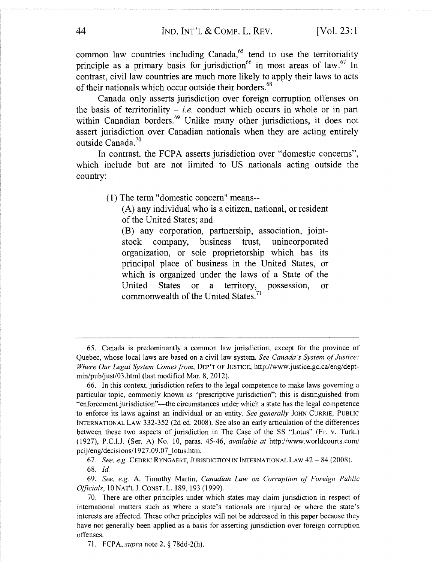common law countries including Canada, $65$  tend to use the territoriality principle as a primary basis for jurisdiction<sup>66</sup> in most areas of law.<sup>67</sup> In contrast, civil law countries are much more likely to apply their laws to acts of their nationals which occur outside their borders.<sup>68</sup>

Canada only asserts jurisdiction over foreign corruption offenses on the basis of territoriality – *i.e.* conduct which occurs in whole or in part within Canadian borders.<sup>69</sup> Unlike many other jurisdictions, it does not assert jurisdiction over Canadian nationals when they are acting entirely outside Canada.<sup>70</sup>

In contrast, the FCPA asserts jurisdiction over "domestic concerns", which include but are not limited to US nationals acting outside the country:

(1) The term "domestic concern" means--

(A) any individual who is a citizen, national, or resident of the United States; and

(B) any corporation, partnership, association, jointstock company, business trust, unincorporated organization, or sole proprietorship which has its principal place of business in the United States, or which is organized under the laws of a State of the United States or a territory, possession, or commonwealth of the United States.<sup>71</sup>

67. See, e.g. CEDRIC RYNGAERT, JURISDICTION IN INTERNATIONAL LAW 42 — 84 (2008 ). 68. Id.

<sup>65.</sup> Canada is predominantly a common law jurisdiction, except for the province of Quebec, whose local laws are based on a civil law system. See Canada's System of Justice: Where Our Lega! System Comes from, DEPT OF JUSTICE, http://www.justice.gc.ca/eng/deptmin/pub/just/03.html (last modified Mar. 8, 2012).

<sup>66.</sup> In this context, jurisdiction refers to the legal competence to make laws governing a particular topic, commonly known as "prescriptive jurisdiction"; this is distinguished from "enforcement jurisdiction"—the circumstances under which a state has the legal competence to enforce its laws against an individual or an entity. See generally JOHN CURRIE, PUBLIC INTERNATIONAL LAW 332-352 (2d ed. 2008). See also an early articulation of the differences between these two aspects of jurisdiction in The Case of the SS "Lotus" (Fr. v. Turk.) (1927), P.C.I.J. (Ser. A) No. 10, paras. 45-46, available at http://www.worldcourts.com/ pcij/eng/decisions/ 1927.09.07\_lotus.htm.

<sup>69.</sup> See, e.g. A. Timothy Martin, Canadian Law on Corruption of Foreign Public

Officials, 10 NAT'L J. CONST. L. 189, 193 (1999). 70. There are other principles under which states may claim jurisdiction in respect of international matters such as where a state's nationals are injured or where the state's

interests are affected. These other principles will not be addressed in this paper because they have not generally been applied as a basis for asserting jurisdiction over foreign corruption offenses.

<sup>71.</sup> FCPA, *supra* note 2, § 78dd-2(h).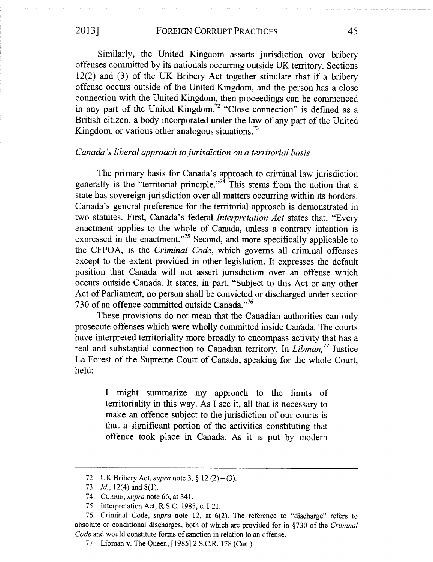Similarly, the United Kingdom asserts jurisdiction over bribery offenses committed by its nationals occurring outside UK territory. Sections 12(2) and (3) of the UK Bribery Act together stipulate that if a bribery offense occurs outside of the United Kingdom, and the person has a close connection with the United Kingdom, then proceedings can be commenced in any part of the United Kingdom.<sup>72</sup> "Close connection" is defined as a British citizen, a body incorporated under the law of any part of the United Kingdom, or various other analogous situations.<sup>73</sup>

## Canada's liberal approach to jurisdiction on a territorial basis

The primary basis for Canada's approach to criminal law jurisdiction generally is the "territorial principle."<sup>74</sup> This stems from the notion that a state has sovereign jurisdiction over all matters occurring within its borders. Canada's general preference for the territorial approach is demonstrated in two statutes. First, Canada's federal Interpretation Act states that: "Every enactment applies to the whole of Canada, unless a contrary intention is expressed in the enactment."<sup>75</sup> Second, and more specifically applicable to the CFPOA, is the Criminal Code, which governs all criminal offenses except to the extent provided in other legislation. It expresses the default position that Canada will not assert jurisdiction over an offense which occurs outside Canada. It states, in part, "Subject to this Act or any other Act of Parliament, no person shall be convicted or discharged under section 730 of an offence committed outside Canada."<sup>76</sup>

These provisions do not mean that the Canadian authorities can only prosecute offenses which were wholly committed inside Canada. The courts have interpreted territoriality more broadly to encompass activity that has a real and substantial connection to Canadian territory. In *Libman*,<sup>77</sup> Justice La Forest of the Supreme Court of Canada, speaking for the whole Court, held:

> I might summarize my approach to the limits of territoriality in this way. As I see it, all that is necessary to make an offence subject to the jurisdiction of our courts is that a significant portion of the activities constituting that offence took place in Canada. As it is put by modern

<sup>72.</sup> UK Bribery Act, *supra* note 3,  $\S 12 (2) - (3)$ .

<sup>73.</sup> *Id.*, 12(4) and 8(1).

<sup>74.</sup> CURRIE, *supra* note 66, at 341.

<sup>75.</sup> Interpretation Act, R.S.C. 1985, c. I-21.

<sup>76.</sup> Criminal Code, supra note 12, at 6(2). The reference to "discharge" refers to absolute or conditional discharges, both of which aze provided for in §730 of the Criminal Code and would constitute forms of sanction in relation to an offense.

<sup>77.</sup> Libman v. The Queen, [1985] 2 S.C.R. 178 (Can.).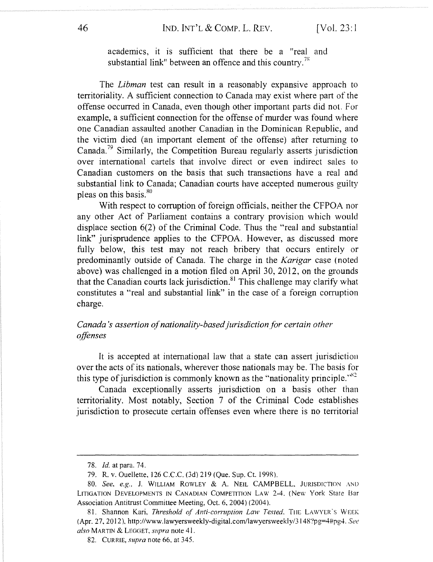## 46 IND. INT'L & COMP. L. REV. [Vol. 23:1]

academics, it is sufficient that there be a "real and substantial link" between an offence and this country.<sup>78</sup>

The *Libman* test can result in a reasonably expansive approach to territoriality. A sufficient connection to Canada may exist where part of the offense occurred in Canada, even though other important parts did not. For example, a sufficient connection for the offense of murder was found where one Canadian assaulted another Canadian in the Dominican Republic, and the victim died (an important element of the offense) after returning to Canada.<sup>79</sup> Similarly, the Competition Bureau regularly asserts jurisdiction over international cartels that involve direct or even indirect sales to Canadian customers on the basis that such transactions have a real and substantial link to Canada; Canadian courts have accepted numerous guilty pleas on this basis.<sup>80</sup>

With respect to corruption of foreign officials, neither the CFPOA nor any other Act of Parliament contains a contrary provision which would displace section 6(2) of the Criminal Code. Thus the "real and substantial link" jurisprudence applies to the CFPOA. However, as discussed more fully below, this test may not reach bribery that occurs entirely or predominantly outside of Canada. The charge in the Karigar case (noted above) was challenged in a motion filed on April 30, 2012, on the grounds that the Canadian courts lack jurisdiction. $81$  This challenge may clarify what constitutes a "real and substantial link" in the case of a foreign corruption charge.

## Canada's assertion of nationality-based jurisdiction for certain other offenses

It is accepted at international law that a state can assert jurisdiction over the acts of its nationals, wherever those nationals may be. The basis for this type of jurisdiction is commonly known as the "nationality principle." $^{82}$ 

Canada exceptionally asserts jurisdiction on a basis other than territoriality. Most notably, Section 7 of the Criminal Code establishes jurisdiction to prosecute certain offenses even where there is no territorial

<sup>78.</sup> Id. at para. 74.

<sup>79.</sup> R. v. Ouellette, 126 C.C.C. (3d) 219 (Que. Sup. Ct. 199R).

<sup>80.</sup> See. e.g., J. WILLIAM ROWLEY & A. NEIL CAMPBELL. JURISDICTION AND LITIGATION DEVELOPMENTS IN CANADIAN COMPETITION LAW 2-4, (New York State Bar Association Antitrust Committee Meeting, Oct. 6, 2004) (2004).

<sup>81.</sup> Shannon Kari, Threshold of Anti-corruption Law Tested, THE LAWYER'S WEEK (Apr. 27, 2012), http://www.lawyersweekly-digital.com/lawyersweekly/3148'?pg=4#pg4. See also MARTIN & LEGGET, supra note 41.

<sup>82.</sup> CURRIE, *supra* note 66, at 345.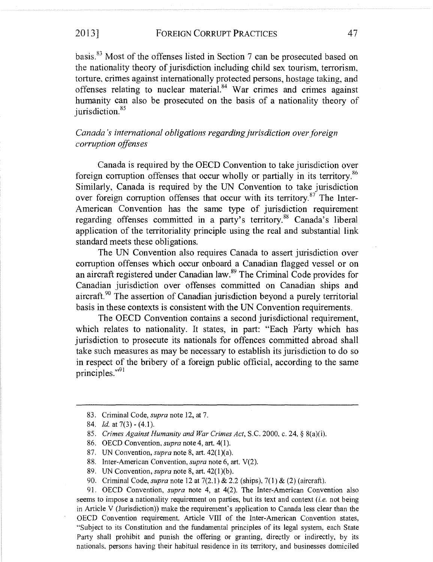## 2013] FOREIGN CORRUPT PRACTICES 47

basis.<sup>83</sup> Most of the offenses listed in Section 7 can be prosecuted based on the nationality theory of jurisdiction including child sex tourism, terrorism, torture, crimes against internationally protected persons, hostage taking, and offenses relating to nuclear material. $84$  War crimes and crimes against humanity can also be prosecuted on the basis of a nationality theory of jurisdiction. $85$ 

Canada's international obligations regarding jurisdiction over foreign corruption offenses

Canada is required by the OECD Convention to take jurisdiction over foreign corruption offenses that occur wholly or partially in its territory.<sup>86</sup> Similarly, Canada is required by the UN Convention to take jurisdiction. over foreign corruption offenses that occur with its territory. $87$  The Inter-American Convention has the same type of jurisdiction requirement regarding offenses committed in a party's territory.<sup>88</sup> Canada's liberal application of the territoriality principle using the real and substantial link standard meets these obligations.

The UN Convention also requires Canada to assert jurisdiction over corruption offenses which occur onboard a Canadian flagged vessel or on an aircraft registered under Canadian law.8y The Criminal Code provides for Canadian jurisdiction over offenses committed on Canadian ships and aircraft. $90$  The assertion of Canadian jurisdiction beyond a purely territorial basis in these contexts is consistent with the UN Convention requirements.

.The OECD Convention contains a second jurisdictional requirement, which relates to nationality. It states, in part: "Each Party which has jurisdiction to prosecute its nationals for offences committed abroad shall take such measures as may be necessary to establish its jurisdiction to do so in respect of the bribery of a foreign public official, according to the same principles."91

<sup>83.</sup> Criminal Code, supra note 12, at 7.

<sup>84.</sup> *Id.* at  $7(3) - (4.1)$ .

<sup>85.</sup> Crimes Against Humanity and War Crimes Act, S.C. 2000, c. 24, § 8(a)(i).

<sup>86.</sup> OECD Convention, supra note 4, art. 4(1).

<sup>87.</sup> UN Convention, supra note 8, art.  $42(1)(a)$ .

<sup>88.</sup> Inter-American Convention, *supra* note 6, art. V(2).

<sup>89.</sup> UN Convention, *supra* note 8, art. 42(1)(b).

<sup>90.</sup> Criminal Code, supra note 12 at 7(2.1) & 2.2 (ships), 7(1) & (2) (aircraft).

<sup>91.</sup> OECD Convention, supra note 4, at 4(2). The Inter-American Convention also seems to impose a nationality requirement on parties, but its text and context (*i.e.* not being in Article V (Jurisdiction)) make the requirement's application to Canada less clear than the OECD Convention requirement. Article VIII of the Inter-American Convention states, "Subject to its Constitution and the fundamental principles of its legal system, each State Party shall prohibit and punish the offering or granting, directly or indirectly, by its nationals, persons having their habitual residence in its territory, and businesses domiciled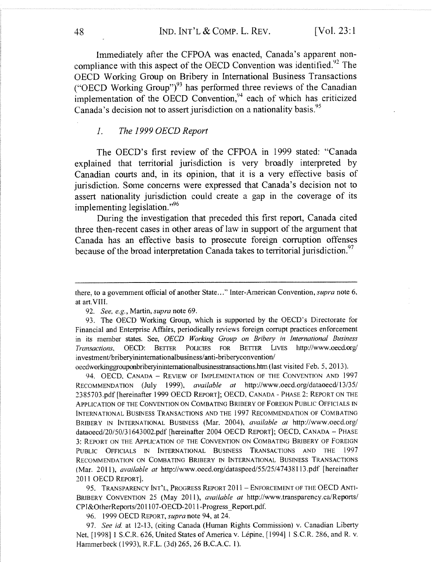Immediately after the CFPOA was enacted, Canada's apparent noncompliance with this aspect of the OECD Convention was identified.<sup>92</sup> The OECD Working Group on Bribery in International Business Transactions ("OECD Working Group") $93$  has performed three reviews of the Canadian implementation of the OECD Convention, $94$  each of which has criticized Canada's decision not to assert jurisdiction on a nationality basis.<sup>95</sup>

### 1. The 1999 OECD Report

The OECD's first review of the CFPOA in 1999 stated: "Canada explained that territorial jurisdiction is very broadly interpreted by Canadian courts and, in its opinion, that it is a very effective basis of jurisdiction. Some concerns were expressed that Canada's decision not to assert nationality jurisdiction could create a gap in the coverage of its implementing legislation."96

During the investigation that preceded this first report, Canada cited three then-recent cases in other areas of law in support of the argument that Canada has an effective basis to prosecute foreign corruption offenses because of the broad interpretation Canada takes to territorial jurisdiction.<sup>97</sup>

oecdworkinggrouponbriberyinintemationalbusinesstransactions.htm(last visited Feb. 5, 2013).

94. OECD, CANADA - REVIEW OF IMPLEMENTATION OF THE CONVENTION AND 1997 RECOMMENDATION (July 1999), available at http://www.oecd.org/dataoecd/13/35/ 2385703.pdf [hereinafter 1999 OECD REPORT]; OECD, CANADA - PHASE 2: REPORT ON THE APPLICATION OF THE CONVENTION ON COMBATING BRIBERY OF FOREIGN PUBLIC OFFICIALS IN INTERNATIONAL BUSINESS TRANSACTIONS AND THE 1997 RECOMMENDATION OF COMBATING BRIBERY IN INTERNATIONAL BUSINESS (Mar. 2004), available at http://www.oecd.org/ dataoecd/20/50/31643002.pdf [hereinafter 2004 OECD REPORT]; OECD, CANADA - PHASE 3: REPORT ON THE APPLICATION OF THE CONVENTION ON COMBATING BRIBERY OF FOREIGN PUBLIC OFFICIALS IN INTERNATIONAL BUSINESS TRANSACTIONS AND THE 1997 RECOMMENDATION ON COMBATING BRIBERY IN INTERNATIONAL BUSINESS TRANSACTIONS (Mar. 2011), available at http://www.oecd.org/dataspeed/55/25/47438113.pdf [hereinafter 2011 OECD REPOxT].

95. TRANSPARENCY INT'L, PROGRESS REPORT 2011 - ENFORCEMENT OF THE OECD ANTI-BRIBERY CONVENTION 25 (May 2011), *available at http://www.transparency.ca/Reports/* CP I&OtherReports/201107-OECD-2011-Progress\_Report.pdf.

96. 1999 OECD REPOxT, supra note 94, at 24.

97. See id. at 12-13, (citing Canada (Human Rights Commission) v. Canadian Liberty Net, [1998] 1 S.C.R. 626, United States of America v. Lépine, [1994] 1 S.C.R. 286, and R. v. Hammerbeck (1993), R.F.L. (3d) 265, 26 B.C.A.C. 1).

there, to a government official of another State..." Inter-American Convention, *supra* note 6, at art.VITI.

<sup>92.</sup> See, e.g., Martin, supra note 69.

<sup>93.</sup> The OECD Working Group, which is supported by the OECD's Directorate for Financial and Enterprise Affairs, periodically reviews foreign corrupt practices enforcement in its member states. See, OECD Working Group on Bribery in International Business Transactions, OECD: BETTER POLICIES FOR BETTER LIVES http://www.oecd.org/ investment/briberyininternationalbusiness/anti-briberyconvention/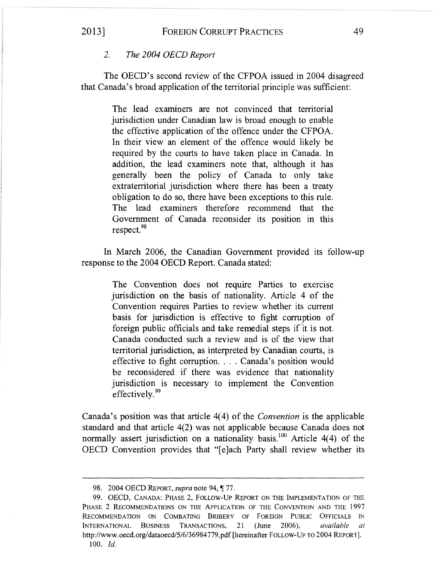The OECD's second review of the CFPOA issued in 2004 disagreed that Canada's broad application of the territorial principle was sufficient:

> The lead examiners are not convinced that territorial jurisdiction under Canadian law is broad enough to enable the effective application of the offence under the CFPOA. In their view an element of the offence would likely be required by the courts to have taken place in Canada. In addition, the lead examiners note that, although it has generally been the policy of Canada to only take extraterritorial jurisdiction where there has been a treaty obligation to do so, there have been exceptions to this rule. The lead examiners therefore recommend that the Government of Canada reconsider its position in this respect.<sup>98</sup>

In March 2006, the Canadian Government provided its follow-up response to the 2004 OECD Report. Canada stated:

> The Convention does not require Parties to exercise jurisdiction on the basis of nationality. Article 4 of the Convention requires Parties to review whether its current basis for jurisdiction is effective to fight corruption of foreign public officials and take remedial steps if it is not. Canada conducted such a review and is of the view that territorial jurisdiction, as interpreted by Canadian courts, is effective to fight corruption.... Canada's position would be reconsidered if there was evidence that nationality jurisdiction is necessary to implement the Convention effectively.<sup>99</sup>

Canada's position was that article 4(4) of the Convention is the applicable standard and that article 4(2) was not applicable because Canada does not normally assert jurisdiction on a nationality basis.<sup>100</sup> Article 4(4) of the OECD Convention provides that "[e]ach Party shall review whether its

<sup>98. 2004</sup> OECD REPORT, *supra* note 94, ¶ 77.

<sup>99.</sup> OECD, CANADA: PHASE 2, FOLLOW-UP REPORT ON THE IMPLEMENTATION OF THE PHASE 2 RECOMMENDATIONS ON THE APPLICATION OF THE CONVENTION AND THE 1997 RECOMMENDATION ON COMBATING BRIBERY OF FOREIGN PUBLIC OFFICIALS IN INTERNATIONAL BUSINESS TRANSACTIONS, 21 (lune 2006), available at http://www.oecd.org/dataoecd/5/6/36984779.pdf [hereinafter FOLLOW-UP TO 2004 REPORT]. 100. Id.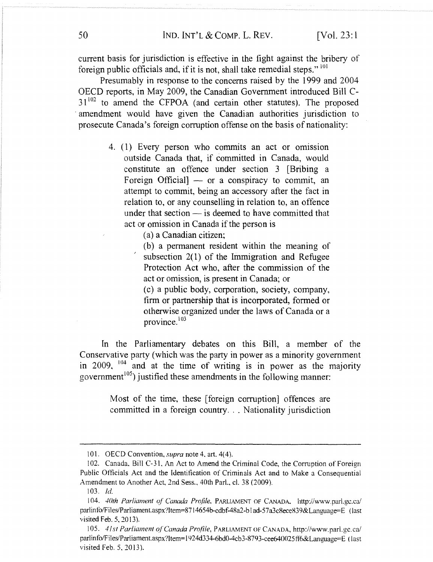current basis for jurisdiction is effective in the fight against the bribery of foreign public officials and, if it is not, shall take remedial steps."  $^{101}$ 

Presumably in response to the concerns raised by the 1999 and 2004 OECD reports, in May 2009, the Canadian Government introduced Bill C- $31^{102}$  to amend the CFPOA (and certain other statutes). The proposed amendment would have given the Canadian authorities jurisdiction to prosecute Canada's foreign corruption offense on the basis of nationality:

- 4. (1) Every person who commits an act or omission outside Canada that, if committed in Canada, would constitute an offence under section 3 [Bribing a Foreign Official] — or a conspiracy to commit, an attempt to commit, being an accessory after the fact in relation to, or any counselling in relation to, an offence under that section — is deemed to have committed that act or omission in Canada if the person is
	- (a) a Canadian citizen;

(b) a permanent resident within the meaning of subsection 2(1) of the Immigration and Refugee Protection Act who, after the commission of the act or omission, is present in Canada; or

(c) a public body, corporation, society, company, firm or partnership that is incorporated, formed or otherwise organized under the laws of Canada or a province. $103$ 

In the Parliamentary debates on this Bill, a member of the Conservative party (which was the party in power as a minority government in 2009,  $104$  and at the time of writing is in power as the majority government<sup>105</sup>) justified these amendments in the following manner:

> Most of the time, these [foreign corruption] offences are committed in a foreign country... Nationality jurisdiction

<sup>101.</sup> OECD Convention, *supra* note 4, art. 4(4).

<sup>102.</sup> Canada, Bill C-31, An Act to Amend the Criminal Code, the Corruption of Foreign Public Officials Act and the Identitication of Criminals Act and to Make a Consequential Amendment to Another Act, 2nd Sess., 40th Parl., cl. 38 (2009).

 $103.$  *Id.* 

<sup>104. 40</sup>th Parliament of Canada Profile. PARLIAMENT OF CANADA, http://www.parl.gc.ca/ parlinfo/Files/Parliament.aspx?Item=8714654b-cdbf-48a2-blad-57a3c8ece839&Language=E (last visited Feb.  $5, 2013$ ).

<sup>105. 41</sup>st Parliament of Canada Profile, PARLIAMENT OF CANADA, http://www.parl.gc.ca/ parlinfo/Files/Parliament.aspx?Item=1924d334-6bd0-4cb3-8793-cee640025ff6&Language=E (last visited Feb. 5, 2013).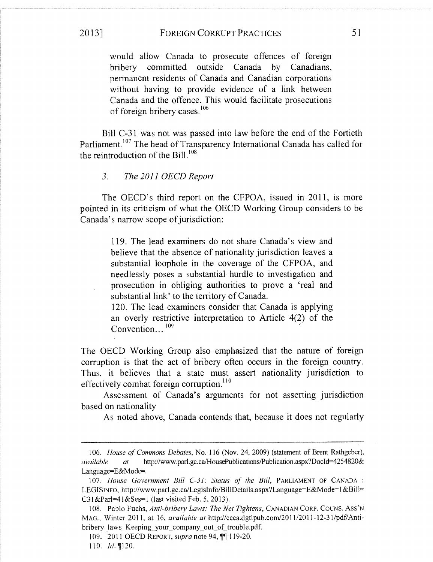## 2013] FOREIGN CORRUPT PRACTICES 51

would allow Canada to prosecute offences of foreign bribery committed outside Canada by Canadians, permanent residents of Canada and Canadian corporations without having to provide evidence of a link between Canada and the offence. This would facilitate prosecutions of foreign bribery cases.<sup>106</sup>

Bill C-31 was not was passed into law before the end of the Fortieth Parliament.<sup>107</sup> The head of Transparency International Canada has called for the reintroduction of the Bill. $108$ 

#### 3. The 2011 OECD Report

The OECD's third report on the CFPOA, issued in 2011, is more pointed in its criticism of what the OECD Working Group considers to be Canada's narrow scope of jurisdiction:

> 119. The lead examiners do not share Canada's view and. believe that the absence of nationality jurisdiction leaves a substantial loophole in the coverage of the CFPOA, and needlessly poses a substantial hurdle to investigation and prosecution in obliging authorities to prove a 'real and substantial link' to the territory of Canada.

> 120. The lead examiners consider that Canada is applying an overly restrictive interpretation to Article 4(2) of the Convention...<sup>109</sup>

The OECD Working Group also emphasized that the nature of foreign corruption is that the act of bribery often occurs in the foreign country. Thus, it believes that a state must assert nationality jurisdiction to effectively combat foreign corruption.<sup>110</sup>

Assessment of Canada's arguments for not asserting jurisdiction based on nationality

As noted above, Canada contends that, because it does not regularly

<sup>106.</sup> House of Commons Debates, No. 116 (Nov. 24, 2009) (statement of Brent Rathgeber), available at http://www.parl.gc.ca/HousePublications/Publication.aspx?DocId=4254820& Language=E&Mode=.

<sup>107.</sup> House Government Bill C-31: Status of the Bill, PARLIAMENT OF CANADA: LEGISINFO, http://www.parl.gc.ca/LegisInfo/BillDetails.aspx?Language=E&Mode=1&Bill=  $C31\&Par1=41\&Ses=1$  (last visited Feb. 5, 2013).

<sup>108.</sup> Pablo Fuchs, Anti-bribery Laws: The Net Tightens, CANADIAN CORP. COUNS. ASS'N MAC,., Winter 20l I, at 16, available at http://ccca.dgtlpub.com/2011/2011-12-31/pdf/Antibribery laws Keeping your company out of trouble.pdf.

<sup>109. 2011</sup> OECD REPORT, *supra* note 94, **[101]** 119-20.

<sup>110.</sup>  $Id. \parallel 120.$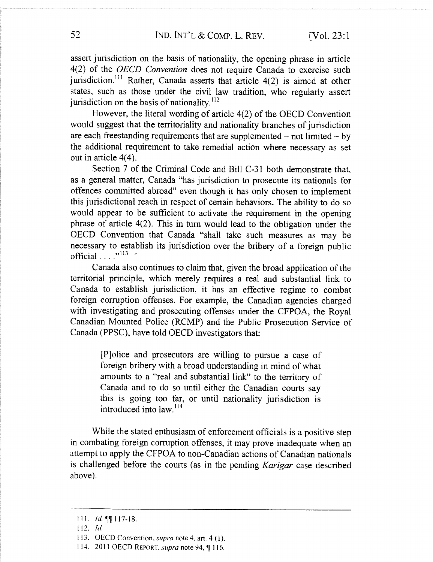assert jurisdiction on the basis of nationality, the opening phrase in article 4(2) of the OECD Convention does not require Canada to exercise such jurisdiction.<sup>111</sup> Rather, Canada asserts that article  $4(2)$  is aimed at other states, such as those under the civil law tradition, who regularly assert jurisdiction on the basis of nationality. $^{112}$ 

However, the literal wording of article 4(2) of the OECD Convention would suggest that the territoriality and nationality branches of jurisdiction are each freestanding requirements that are supplemented —not limited — by the additional requirement to take remedial action where necessary as set out in article 4(4).

Section 7 of the Criminal Code and Bill C-31 both demonstrate that, as a general matter, Canada "has jurisdiction to prosecute its nationals for offences committed abroad" even though it has only chosen to implement this jurisdictional reach in respect of certain behaviors. The ability to do so would appear to be sufficient to activate the requirement in the opening phrase of article 4(2). This in turn would lead to the obligation under the OECD Convention that Canada "shall take such measures as may be necessary to establish its jurisdiction over the bribery of a foreign public official...." $113$  /

Canada also continues to claim that, given the broad application of the territorial principle, which merely requires a real and substantial link to Canada to establish jurisdiction, it has an effective regime to combat foreign corruption offenses. For example, the Canadian agencies charged with investigating and prosecuting offenses under the CFPOA, the Royal Canadian Mounted Police (RCMP) and the Public Prosecution Service of Canada (PPSC), have told OECD investigators that:

> [P]olice and prosecutors are willing to pursue a case of foreign bribery with a broad understanding in mind of what amounts to a "real and substantial link" to the territory of Canada and to do so until either the Canadian courts say this is going too tar, or until nationality jurisdiction is introduced into  $\text{law}$ .<sup>114</sup>

While the stated enthusiasm of enforcement officials is a positive step in combating foreign corruption offenses, it may prove inadequate when an attempt to apply the CFPOA to non-Canadian actions of Canadian nationals is challenged before the courts (as in the pending Karigar case described above).

<sup>111.</sup> *Id.* **11** 117-18.

 $112.$  Id.

<sup>113.</sup> OECD Convention, *supra* note 4, art.  $4(1)$ .

<sup>114. 2011</sup> OECD REPORT, supra note 94, ¶ 116.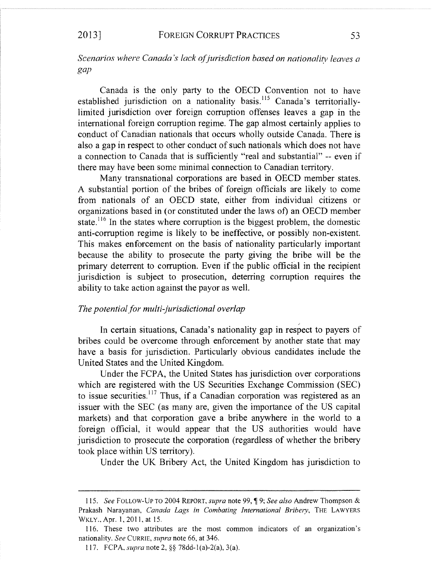## Scenarios where Canada's lack of jurisdiction based on nationality leaves a gap

Canada is the only party to the OECD Convention not to have established jurisdiction on a nationality basis.<sup>115</sup> Canada's territoriallylimited jurisdiction over foreign corruption offenses leaves a gap in the international foreign corruption regime. The gap almost certainly applies to conduct of Canadian nationals that occurs wholly outside Canada. There is also a gap in respect to other conduct of such nationals which does not have a connection to Canada that is sufficiently "real and substantial" -- even if there may have been some minimal connection to Canadian territory.

Many transnational corporations are based in OECD member states. A substantial portion of the bribes of foreign officials are likely to come from nationals of an OECD state, either from individual citizens or organizations based in (or constituted under the laws of) an OECD member state.<sup>116</sup> In the states where corruption is the biggest problem, the domestic anti-corruption regime is likely to be ineffective, or possibly non-existent. This makes enforcement on the basis of nationality particularly important because the ability to prosecute the party giving the bribe will be the primary deterrent to corruption. Even if the public official in the recipient jurisdiction is subject to prosecution, deterring corruption requires the ability to take action against the payor as well.

## The potential for multi-jurisdictional overlap

In certain situations, Canada's nationality gap in respect to payers of bribes could be overcome through enforcement by another state that may have a basis for jurisdiction. Particularly obvious candidates include the United States and the United Kingdom.

Under the FCPA, the United States has jurisdiction over corporations which are registered with the US Securities Exchange Commission (SEC) to issue securities.<sup>117</sup> Thus, if a Canadian corporation was registered as an issuer with the SEC (as many are, given the importance of the US capital markets) and that corporation gave a bribe anywhere in the world to a foreign official, it would appear that the US authorities would have jurisdiction to prosecute the corporation (regardless of whether the bribery took place within US territory).

Under the UK Bribery Act, the United Kingdom has jurisdiction to

<sup>115.</sup> See FOLLOW-UP TO 2004 REPORT, supra note 99, ¶ 9; See also Andrew Thompson & Prakash Narayanan, Canada Lags in Combating International Bribery, THE LAWYERS WKLY., Apr. 1, 2011, at 15.

<sup>116.</sup> These two attributes are the most common indicators of an organization's nationality. See CURRIE, supra note 66, at 346.

<sup>117.</sup> FCPA, *supra* note 2,  $\S$ § 78dd-1(a)-2(a), 3(a).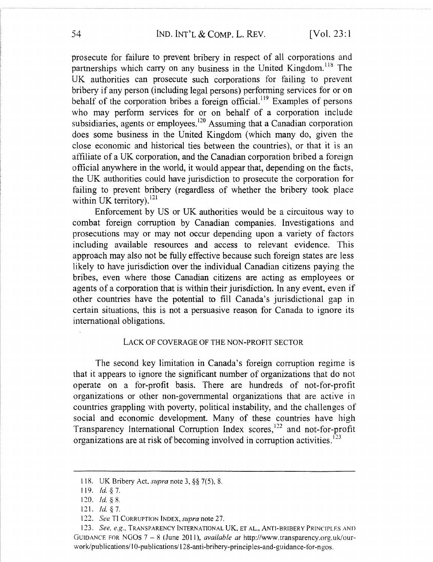prosecute for failure to prevent bribery in respect of all corporations and partnerships which carry on any business in the United Kingdom.<sup>118</sup> The UK authorities can prosecute such corporations for failing to prevent bribery if any person (including legal persons) performing services for or on behalf of the corporation bribes a foreign official.<sup>119</sup> Examples of persons who may perform services for or on behalf of a corporation include subsidiaries, agents or employees.<sup>120</sup> Assuming that a Canadian corporation does some business in the United Kingdom (which many do, given the close economic and historical ties between the countries), or that it is an affiliate of a UK corporation, and the Canadian corporation bribed a foreign official anywhere in the world, it would appear that, depending on the facts, the UK authorities could have jurisdiction to prosecute the corporation for failing to prevent bribery (regardless of whether the bribery took place within UK territory). $^{121}$ 

Enforcement by US or UK authorities would be a circuitous way to combat foreign corruption by Canadian companies. Investigations and prosecutions may or may not occur depending upon a variety of factors including available resources and access to relevant evidence. This approach may also not be fully effective because such foreign states are less likely to have jurisdiction over the individual Canadian citizens paying the bribes, even where those Canadian citizens are acting as employees or agents of a corporation that is within their jurisdiction. In any event, even if other countries have the potential to fill Canada's jurisdictional gap in certain situations, this is not a persuasive reason for Canada to ignore its international obligations.

#### LACK OF COVERAGE OF THE NON-PROFIT SECTOR

The second key limitation in Canada's foreign corruption regime is that it appears to ignore the significant number of organizations that do not operate on a for-profit basis. There are hundreds of not-for-profit organizations or other non-governmental organizations that are active in countries grappling with poverty, political instability, and the challenges of social and economic development. Many of these countries have high Transparency International Corruption Index scores,  $^{122}$  and not-for-profit organizations are at risk of becoming involved in corruption activities.<sup>123</sup>

<sup>118.</sup> UK Bribery Act, *supra* note 3,  $\S$ § 7(5), 8.

<sup>119.</sup>  $Id. \S$  7.

<sup>120.</sup>  $Id. \S 8$ .

<sup>121.</sup> *Id.*  $§ 7.$ 

<sup>122.</sup> See TI CORRUPTION INDEX, supra note 27.

<sup>123.</sup> See, e.g., TRANSPARENCY INTERNATIONAL UK, ET AL., ANTI-BRIBERY PRINCIPLES AND GUIDANCE FOR NGOS  $7 - 8$  (June 2011), *available at http://www.transparency.org.uk/our-*~vork/publications/ 1 U-publications/ 128-anti-bribery-principles-and-guidance-for-ngos.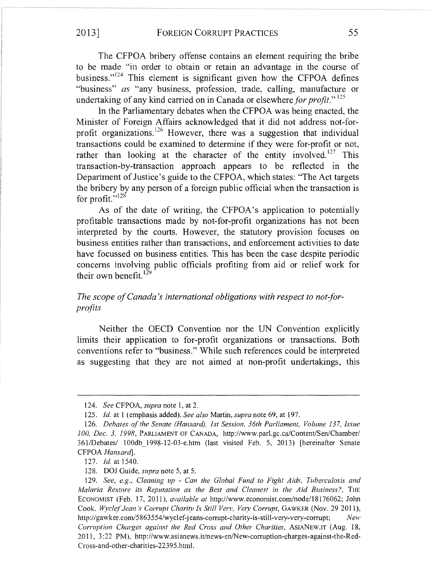The CFPOA bribery offense contains an element requiring the bribe to be made "in order to obtain or retain an advantage in the course of business." $124$  This element is significant given how the CFPOA defines "business" as "any business, profession, trade, calling, manufacture or undertaking of any kind carried on in Canada or elsewhere for profit."<sup>125</sup>

In the Parliamentary debates when the CFPOA was being enacted, the Minister of Foreign Affairs acknowledged that it did not address not-forprofit organizations.<sup>126</sup> However, there was a suggestion that individual transactions could be examined to determine if they were for-profit or not, rather than looking at the character of the entity involved.<sup>127</sup> This transaction-by-transaction approach appears to be reflected in the Department of Justice's guide to the CFPOA, which states: "The Act targets the bribery by any person of a foreign public official when the transaction is for profit." $^{128}$ 

As of the date of writing, the CFPOA's application to potentially profitable transactions made by not-for-profit organizations has not been interpreted by the courts. However, the statutory provision focuses on business entities rather than transactions, and enforcement activities to date have focussed on business entities. This has been the case despite periodic concerns involving public officials profiting from aid or relief work for their own benefit. $^{129}$ 

## The scope of Canada's international obligations with respect to not-forprofits

Neither the OECD Convention nor the UN Convention explicitly limits their application to for-profit organizations or transactions. Both conventions refer to "business." While such references could be interpreted as suggesting that they are not aimed at non-profit undertakings, this

127. Id. at 1540.

128. DOJ Guide, supra note 5, at 5.

<sup>124.</sup> See CFPOA, supra note 1, at 2.

<sup>125.</sup> Id. at 1 (emphasis added). See also Martin, supra note 69, at 197.

<sup>126.</sup> Debates of the Senate (Hansard), 1st Session, 36th Parliament, Volume 137, Issue 100, Dec. 3, 1998, PARLIAMENT OF CANADA, http://www.parl.gc.ca/Content/Sen/Chamber/ 361/Debates/ 100db\_1998-12-03-e.htm (last visited Feb. 5, 2013) [hereinafter Senate CFPOA Hansard].

<sup>129.</sup> See, e.g., Cleaning up - Can the Global Fund to Fight Aids, Tuberculosis and Malaria Restore its Reputation as the Best and Cleanest in the Aid Business?, THE ECONOMIST (Feb. 17, 2011), *available at http://www.economist.com/node/18176062*; John Cook. Wyclef Jean's Corrupt Charity Is Still Very, Very Corrupt, GAWKER (Nov. 29 2011), http://gawker.com/5863554/wyclef-jeans-corrupt-charity-is-still-very-very-corrupt; New Corruption Charges against the Red Cross and Other Charities, ASIANEW.IT (Aug. 18, ?011, 3:22 PM), http://www.asianews.it/news-en/New-corruption-charges-against-the-Red-Cross-and-other-charities-22395.htm1.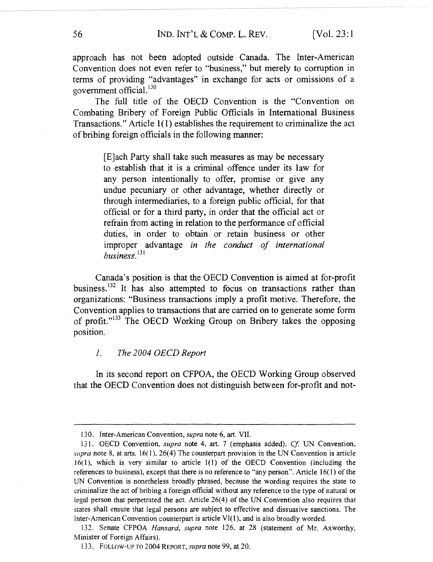approach has not been adopted outside Canada. The Inter-American Convention does not even refer to "business," but merely to corruption in terms of providing "advantages" in exchange for acts or omissions of a government official.<sup>130</sup>

The full title of the OECD Convention is the "Convention on Combating Bribery of Foreign Public Officials in International Business Transactions." Article 1(1) establishes the requirement to criminalize the act of bribing foreign officials in the following manner:

> [E]ach Party shall take such measures as may be necessary to establish that it is a criminal offence under its law for any person intentionally to offer, promise or give any undue pecuniary or other advantage, whether directly or through intermediaries, to a foreign public official, for that official or for a third party, in order that the official act or refrain from acting in relation to the performance of official duties, in order to obtain or retain business or other improper advantage in the conduct of international  $busines. <sup>131</sup>$

Canada's position is that the OECD Convention is aimed at for-profit business.<sup>132</sup> It has also attempted to focus on transactions rather than organizations: "Business transactions imply a profit motive. Therefore, the Convention applies to transactions that are carried on to generate some form of profit."133 The OECD Working Group on Bribery takes the opposing position.

#### 1. The 2004 OECD Report

In its second report on CFPOA, the OECD Working Group observed that the OECD Convention does not distinguish between for-profit and not-

<sup>130.</sup> Inter-American Convention, supra note 6, art. VII.

<sup>131.</sup> OECD Convention, *supra* note 4, art. 7 (emphasis added). Cf. UN Convention, supra note 8, at arts.  $16(1)$ ,  $26(4)$  The counterpart provision in the UN Convention is article 16(1), which is very similar to article 1(1) of the OECD Convention (including the references to business), except that there is no reference to "any person". Article 16(1) of the UN Convention is nonetheless broadly phrased, because the wording requires the state to criminalize the act of bribing a foreign official without any reference to the type of natural or legal person that perpetrated the act. Article 26(4) of the UN Convention also requires that states shall ensure that legal persons are subject to effective and dissuasive sanctions. The Inter-American Convention counterpart is article VI(1), and is also broadly worded.

<sup>132.</sup> Senate CFPOA Hansard, supra note 126, at 28 (statement of Mr. Axworthy, Minister of Foreign Affairs).

<sup>133.</sup> FOLLOW-UP TO 2004 REPORT, supra note 99, at 20.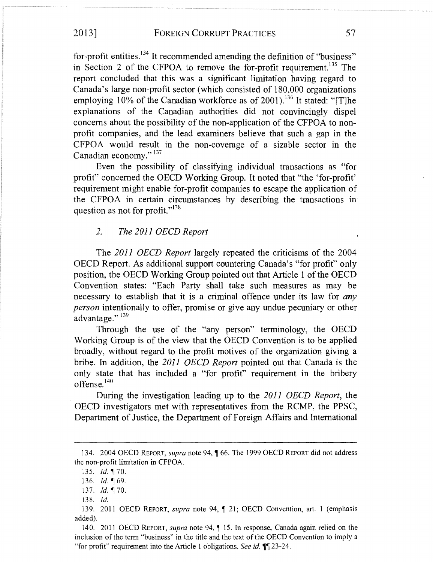## 2013] FOREIGN CORRUPT PRACTICES 57

for-profit entities.<sup>134</sup> It recommended amending the definition of "business" in Section 2 of the CFPOA to remove the for-profit requirement.<sup>135</sup> The report concluded that this was a significant limitation having regard to Canada's large non-profit sector (which consisted of 180,000 organizations employing  $10\%$  of the Canadian workforce as of 2001).<sup>136</sup> It stated: "[T]he explanations of the Canadian authorities did not convincingly dispel concerns about the possibility of the non-application of the CFPOA to nonprofit companies, and the lead examiners believe that such a gap in the CFPOA would result in the non-coverage of a sizable sector in the Canadian economy." <sup>137</sup>

Even the possibility of classifying individual transactions as "for profit" concerned the OECD Working Group. It noted that "the `for-profit' requirement might enable for-profit companies to escape the application of the CFPOA in certain circumstances by describing the transactions in question as not for profit."<sup>138</sup>

## ?. The 2011 OECD Report

The 2011 OECD Report largely repeated the criticisms of the 2004 OECD Report. As additional support countering Canada's "for profit" only position, the OECD Working Group pointed out that Article 1 of the OECD Convention states: "Each Party shall take such measures as may be necessary to establish that it is a criminal offence under its law for *any* person intentionally to offer, promise or give any undue pecuniary or other advantage." $139$ 

Through the use of the "any person" terminology, the OECD Working Group is of the view that the OECD Convention is to be applied broadly, without regard to the profit motives of the organization giving a bribe. In addition, the 2011 OECD Report pointed out that Canada is the only state that has included a "for profit" requirement in the bribery offense.<sup>140</sup>

During the investigation leading up to the 2011 OECD Report, the OECD investigators met with representatives from the RCMP, the PPSC, Department of Justice, the Department of Foreign Affairs and International

138. Id.

<sup>134. 2004</sup> OECD REPORT, *supra* note 94, ¶ 66. The 1999 OECD REPORT did not address the non-profit limitation in CFPOA.

<sup>135.</sup> Id. ¶ 70.

<sup>136.</sup> *Id.*  $\oint 69$ .

<sup>137.</sup>  $Id. \P 70$ .

<sup>139. 2011</sup> OECD REPORT, supra note 94,  $\P$  21; OECD Convention, art. 1 (emphasis added).

<sup>140. 2011</sup> OECD REPORT, supra note 94,  $\P$  15. In response, Canada again relied on the inclusion of the term "business" in the title and the text of the OECD Convention to imply a "for profit" requirement into the Article 1 obligations. See id. ¶¶ 23-24.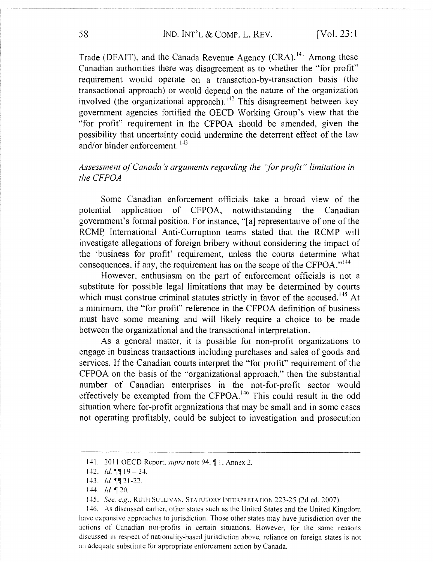Trade (DFAIT), and the Canada Revenue Agency  $(CRA)$ .<sup> $141$ </sup> Among these Canadian authorities there was disagreement as to whether the "tor profit" requirement would operate on a transaction-by-transaction basis (the ±ransactional approach) or would depend on the nature of the organization involved (the organizational approach).<sup> $142$ </sup> This disagreement between key government agencies fortified the OECD Working Group's view that the "tor profit" requirement in the CFPOA should be amended, given the possibility that uncertainty could undermine the deterrent effect of the law and/or hinder enforcement.  $^{143}$ 

## $A$ ssessment of Canada's arguments regarding the "for profit" limitation in the CFPOA

Some Canadian enforcement officials take a broad view of the potential application of CFPOA, notwithstanding the Canadian government's formal position. For instance, "[a] representative of one of the RCMP International Anti-Corruption teams stated that the RCMP will investigate allegations of foreign bribery without considering the impact of the 'business for profit' requirement, unless the courts determine what consequences, if any, the requirement has on the scope of the CFPOA." $^{144}$ 

However, enthusiasm on the part of enforcement officials is not a substitute for possible legal limitations that may be determined by courts which must construe criminal statutes strictly in favor of the accused.<sup> $+5$ </sup> At a minimum, the "tor profit" reference in the CFPOA definition of business must have some meaning and will likely require a choice to be made between the organizational and the transactional interpretation.

As a general. matter, it is possible for non-profit organizations to engage in business transactions including purchases and sales of goods and services. If the Canadian courts interpret the "tor profit" requirement of the CFPOA on the basis of the "organizational approach," then the substantial number of Canadian enterprises in the not-for-profit sector would effectively be exempted from the CFPOA.<sup>146</sup> This could result in the odd situation where for-profit organizations that may be small and in some cases not operating profitably, could be subject to investigation and prosecution

<sup>141. 2011</sup> OECD Report, supra note 94, \leq 1, Annex 2.

<sup>142.</sup> *Id.*  $\mathbb{I} \mathbb{I}$  19 – 24.

<sup>143.</sup> *ld*. T. 21-22.

 $144.$  Id.  $120.$ 

<sup>145.</sup> See, e.g., RUTH SULLIVAN, STATUTORY INTERPRETATION 223-25 (2d ed. 2007).

<sup>146.</sup> As discussed earlier, other states such as the United States and the United Kingdom have expansive approaches to jurisdiction. Those other states may have jurisdiction over the actions of Canadian not-profits in certain situations. However, for the same reasons discussed in respect of nationality-based jurisdiction above, reliance on foreign states is not an adequate substitute for appropriate enforcement action by Canada.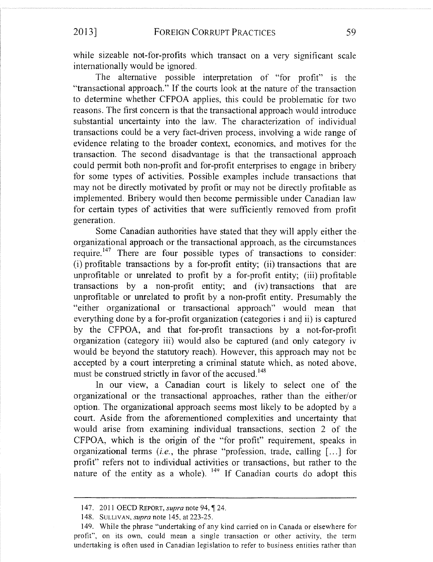while sizeable not-for-profits which transact on a very significant scale internationally would be ignored.

The alternative possible interpretation of "for profit" is the "transactional approach." If the courts look at the nature of the transaction to determine whether CFPOA applies, this could be problematic for two reasons. The first concern is that the transactional approach would introduce substantial uncertainty into the law. The characterization of individual transactions could be a very fact-driven process, involving a wide range of evidence relating to the broader context, economics, and motives for the transaction. The second disadvantage is that the transactional approach could permit both non-profit and for-profit enterprises to engage in bribery for some types of activities. Possible examples include transactions that may not be directly motivated by profit or may not be directly profitable as implemented. Bribery would then become permissible under Canadian law for certain types of activities that were sufficiently removed from profit generation.

Some Canadian authorities have stated that they will apply either theorganizational approach or the transactional approach, as the circumstances require.<sup>147</sup> There are four possible types of transactions to consider: (i) profitable transactions by a for-profit entity; (ii) transactions that are unprofitable or unrelated to profit by a for-profit entity; (iii) profitable transactions by a non-profit entity; and (iv) transactions that are unprofitable or unrelated to profit by a non-profit entity. Presumably the "either organizational or transactional approach" would mean that everything done by a for-profit organization (categories i and ii) is captured by the CFPOA, and that for-profit transactions by a not-for-profit organization (category iii) would also be captured (and only category iv would be beyond the statutory reach). However, this approach may not be accepted by a court interpreting a criminal statute which, as noted above, must be construed strictly in favor of the accused.<sup>148</sup>

In our view, a Canadian court is likely to select one of the organizational or the transactional approaches. rather than the either/or option. The organizational approach seems most likely to be adopted by a court. Aside from the aforementioned complexities and uncertainty that would arise from examining individual transactions, section 2 of the CFPOA, which is the origin of the "for profit" requirement, speaks in organizational terms *(i.e.*, the phrase "profession, trade, calling [...] for profit" refers not to individual activities or transactions, but rather to the nature of the entity as a whole). <sup>149</sup> If Canadian courts do adopt this

<sup>147. 2011</sup> OECD REPORT, *supra* note 94, ¶ 24.

<sup>148.</sup> SULLIVAN, *supra* note 145, at 223-25.

<sup>149.</sup> While the phrase "undertaking of any kind carried on in Canada or elsewhere for profit", on its own, could mean a single transaction or other activity, the term undertaking is often used in Canadian legislation to refer to business entities rather than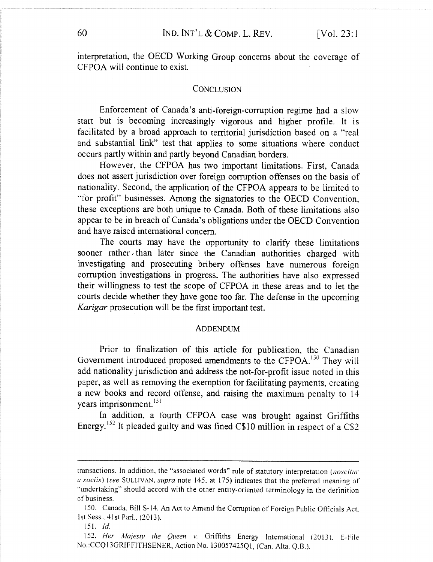interpretation, the OECD Working Group concerns about the coverage of CFPOA will continue to exist.

#### **CONCLUSION**

Enforcement of Canada's anti-foreign-corruption regime had a slow start but is becoming increasingly vigorous and higher protlle. It is facilitated by a broad approach to territorial jurisdiction based on a "real and substantial link" test that applies to some situations where conduct occurs partly within and partly beyond Canadian borders.

However, the CFPOA has two important limitations. First, Canada does not assert jurisdiction over foreign corruption offenses on the basis of nationality. Second, the application of the CFPOA appears to be limited to "for profit" businesses. Among the signatories to the OECD Convention, these exceptions are both unique to Canada. Both of these limitations also appear to be in breach of Canada's obligations under the OECD Convention and have raised international concern.

The courts may have the opportunity to clarify these limitations sooner rather than later since the Canadian authorities charged with investigating and prosecuting bribery offenses have numerous foreign corruption investigations in progress. The authorities have also expressed their willingness to test the scope of CFPOA in these areas and to let the courts decide whether they have gone too far. The defense in the upcoming Karigar prosecution will be the first important test.

#### ADDENDUM

Prior to finalization of this article for publication, the Canadian Government introduced proposed amendments to the CFPOA.<sup>150</sup> They will add nationality jurisdiction and address the nat-for-profit issue noted in this paper, as well as removing the exemption for facilitating payments, creating a new books and record offense, and raising the maximum penalty to 14 years imprisonment.<sup>151</sup>

In addition, a fourth CFPOA case was brought against Griffiths Energy.<sup>152</sup> It pleaded guilty and was fined C\$10 million in respect of a C\$2

transactions. In addition, the "associated words" rule of statutory interpretation (noscitur  $u$  sociis) (see SULLIVAN, supra note 145, at 175) indicates that the preferred meaning of "undertaking" should accord with the other entity-oriented terminology in the definition of business.

<sup>150.</sup> Canada. Bill S-14. An Act to Amend the Corruption of Foreign Public Otticials Act. lst Sess.,  $41st$  Parl.,  $(2013)$ .

<sup>151.</sup> Id.

<sup>152.</sup> Her Majesty the Queen v. Griffiths Energy International (2013), E-File No.:CCQ13GRIFFITHSENER, Action No. 130057425Q1, (Can. Alta. Q.B.).